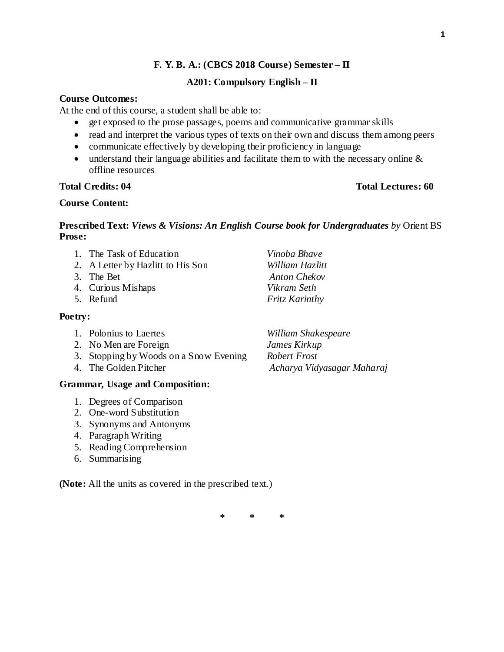# **F. Y. B. A.: (CBCS 2018 Course) Semester – II**

### **A201: Compulsory English – II**

### **Course Outcomes:**

At the end of this course, a student shall be able to:

- get exposed to the prose passages, poems and communicative grammar skills
- read and interpret the various types of texts on their own and discuss them among peers
- communicate effectively by developing their proficiency in language
- $\bullet$  understand their language abilities and facilitate them to with the necessary online  $\&$ offline resources

# **Total Credits: 04 Total Lectures: 60**

### **Course Content:**

# **Prescribed Text:** *Views & Visions: An English Course book for Undergraduates by* Orient BS **Prose:**

1. The Task of Education *Vinoba Bhave* 2. A Letter by Hazlitt to His Son *William Hazlitt* 3. The Bet *Anton Chekov* 4. Curious Mishaps *Vikram Seth* 5. Refund *Fritz Karinthy*

### **Poetry:**

- 1. Polonius to Laertes *William Shakespeare*
- 2. No Men are Foreign *James Kirkup*
- 3. Stopping by Woods on a Snow Evening *Robert Frost*
- 

### **Grammar, Usage and Composition:**

- 1. Degrees of Comparison
- 2. One-word Substitution
- 3. Synonyms and Antonyms
- 4. Paragraph Writing
- 5. Reading Comprehension
- 6. Summarising

**(Note:** All the units as covered in the prescribed text.)

**\* \* \***

4. The Golden Pitcher *Acharya Vidyasagar Maharaj*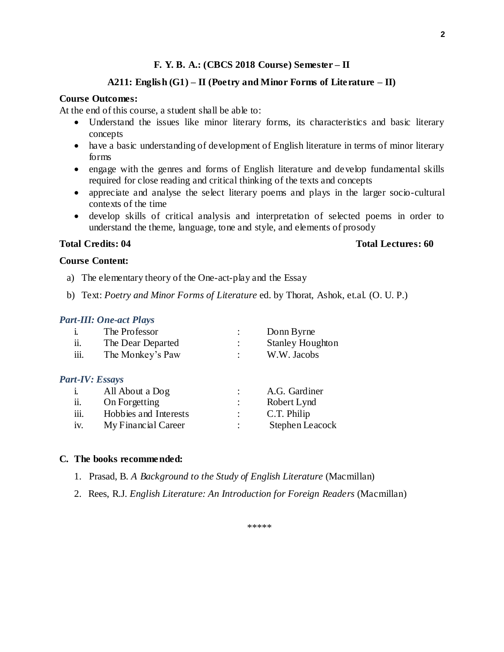### **F. Y. B. A.: (CBCS 2018 Course) Semester – II**

# **A211: English (G1) – II (Poetry and Minor Forms of Literature – II)**

#### **Course Outcomes:**

At the end of this course, a student shall be able to:

- Understand the issues like minor literary forms, its characteristics and basic literary concepts
- have a basic understanding of development of English literature in terms of minor literary forms
- engage with the genres and forms of English literature and develop fundamental skills required for close reading and critical thinking of the texts and concepts
- appreciate and analyse the select literary poems and plays in the larger socio-cultural contexts of the time
- develop skills of critical analysis and interpretation of selected poems in order to understand the theme, language, tone and style, and elements of prosody

### **Total Credits: 04 Total Lectures: 60**

#### **Course Content:**

- a) The elementary theory of the One-act-play and the Essay
- b) Text: *Poetry and Minor Forms of Literature* ed. by Thorat, Ashok, et.al. (O. U. P.)

### *Part-III: One-act Plays*

|                        | The Professor         | Donn Byrne              |
|------------------------|-----------------------|-------------------------|
| ii.                    | The Dear Departed     | <b>Stanley Houghton</b> |
| iii.                   | The Monkey's Paw      | W.W. Jacobs             |
| <b>Part-IV: Essays</b> |                       |                         |
| 1.                     | All About a Dog       | A.G. Gardiner           |
| ii.                    | On Forgetting         | Robert Lynd             |
| iii.                   | Hobbies and Interests | C.T. Philip             |

iv. My Financial Career : Stephen Leacock

### **C. The books recommended:**

- 1. Prasad, B. *A Background to the Study of English Literature* (Macmillan)
- 2. Rees, R.J. *English Literature: An Introduction for Foreign Readers* (Macmillan)

**2**

\*\*\*\*\*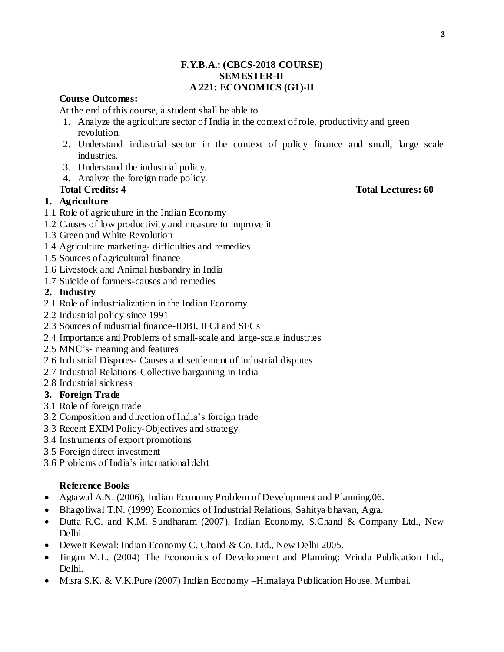# **F.Y.B.A.: (CBCS-2018 COURSE) SEMESTER-II A 221: ECONOMICS (G1)-II**

# **Course Outcomes:**

At the end of this course, a student shall be able to

- 1. Analyze the agriculture sector of India in the context of role, productivity and green revolution.
- 2. Understand industrial sector in the context of policy finance and small, large scale industries.
- 3. Understand the industrial policy.
- 4. Analyze the foreign trade policy.

# **1. Agriculture**

- 1.1 Role of agriculture in the Indian Economy
- 1.2 Causes of low productivity and measure to improve it
- 1.3 Green and White Revolution
- 1.4 Agriculture marketing- difficulties and remedies
- 1.5 Sources of agricultural finance
- 1.6 Livestock and Animal husbandry in India
- 1.7 Suicide of farmers-causes and remedies

# **2. Industry**

- 2.1 Role of industrialization in the Indian Economy
- 2.2 Industrial policy since 1991
- 2.3 Sources of industrial finance-IDBI, IFCI and SFCs
- 2.4 Importance and Problems of small-scale and large-scale industries
- 2.5 MNC's- meaning and features
- 2.6 Industrial Disputes- Causes and settlement of industrial disputes
- 2.7 Industrial Relations-Collective bargaining in India
- 2.8 Industrial sickness

# **3. Foreign Trade**

- 3.1 Role of foreign trade
- 3.2 Composition and direction of India's foreign trade
- 3.3 Recent EXIM Policy-Objectives and strategy
- 3.4 Instruments of export promotions
- 3.5 Foreign direct investment
- 3.6 Problems of India's international debt

# **Reference Books**

- Agtawal A.N. (2006), Indian Economy Problem of Development and Planning.06.
- Bhagoliwal T.N. (1999) Economics of Industrial Relations, Sahitya bhavan, Agra.
- Dutta R.C. and K.M. Sundharam (2007), Indian Economy, S.Chand & Company Ltd., New Delhi.
- Dewett Kewal: Indian Economy C. Chand & Co. Ltd., New Delhi 2005.
- Jingan M.L. (2004) The Economics of Development and Planning: Vrinda Publication Ltd., Delhi.
- Misra S.K. & V.K.Pure (2007) Indian Economy –Himalaya Publication House, Mumbai.

### **Total Credits: 4 Total Lectures: 60**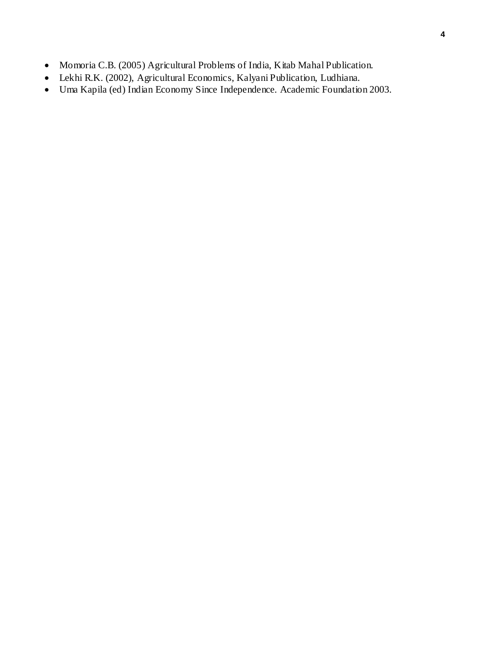- Momoria C.B. (2005) Agricultural Problems of India, Kitab Mahal Publication.
- Lekhi R.K. (2002), Agricultural Economics, Kalyani Publication, Ludhiana.
- Uma Kapila (ed) Indian Economy Since Independence. Academic Foundation 2003.